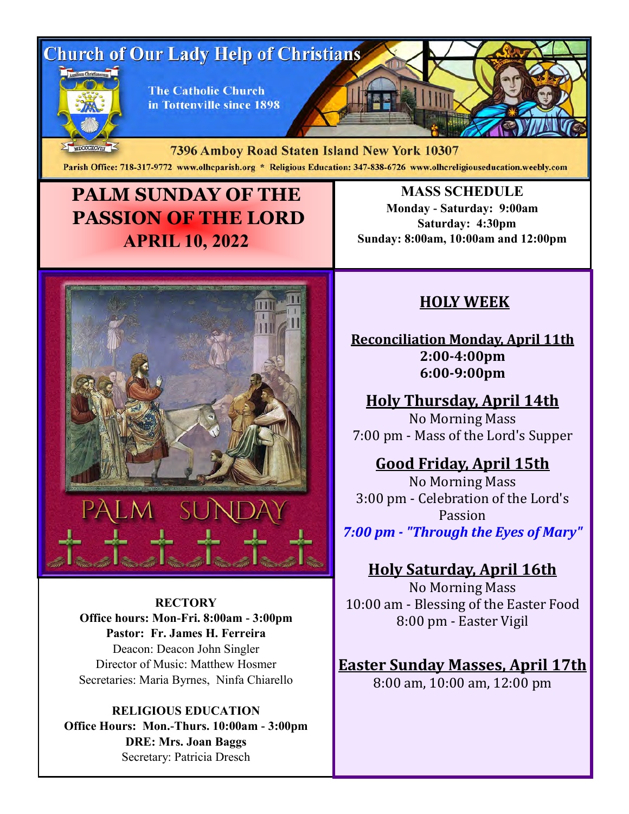# **Church of Our Lady Help of Christians**



**The Catholic Church** in Tottenville since 1898

MDCCCXCVIII 7396 Amboy Road Staten Island New York 10307 Parish Office: 718-317-9772 www.olhcparish.org \* Religious Education: 347-838-6726 www.olhcreligiouseducation.weebly.com

## **PALM SUNDAY OF THE PASSION OF THE LORD APRIL 10, 2022**



**RECTORY Office hours: Mon-Fri. 8:00am - 3:00pm Pastor: Fr. James H. Ferreira** Deacon: Deacon John Singler Director of Music: Matthew Hosmer Secretaries: Maria Byrnes, Ninfa Chiarello

**RELIGIOUS EDUCATION Office Hours: Mon.-Thurs. 10:00am - 3:00pm DRE: Mrs. Joan Baggs** Secretary: Patricia Dresch

**MASS SCHEDULE Monday - Saturday: 9:00am Saturday: 4:30pm Sunday: 8:00am, 10:00am and 12:00pm**

### **HOLY WEEK**

**Reconciliation Monday, April 11th 2:00-4:00pm 6:00-9:00pm**

**Holy Thursday, April 14th** No Morning Mass

7:00 pm - Mass of the Lord's Supper

### **Good Friday, April 15th**

No Morning Mass 3:00 pm - Celebration of the Lord's Passion *7:00 pm - "Through the Eyes of Mary"*

### **Holy Saturday, April 16th**

No Morning Mass 10:00 am - Blessing of the Easter Food 8:00 pm - Easter Vigil

**Easter Sunday Masses, April 17th** 8:00 am, 10:00 am, 12:00 pm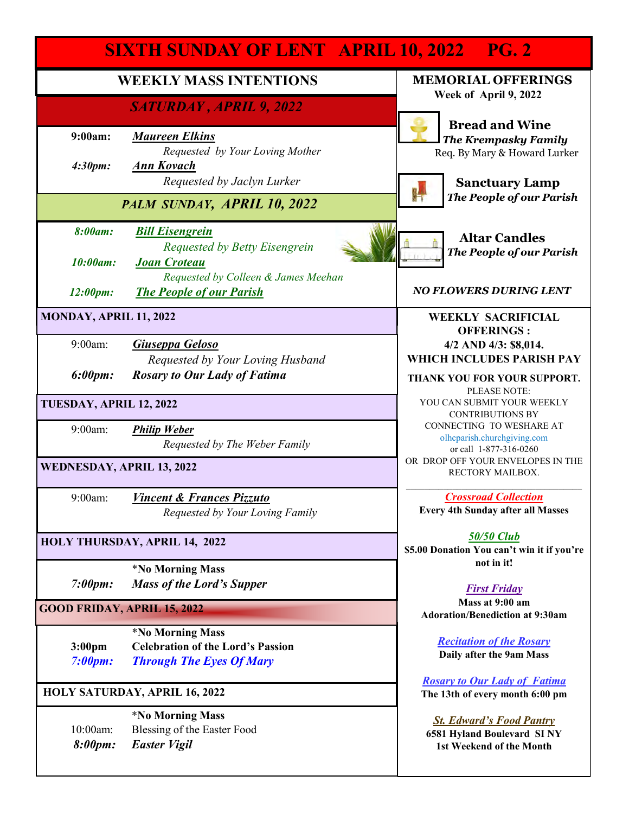|                                      | <b>SIXTH SUNDAY OF LENT APRIL 10, 2022 PG. 2</b>                                                              |                                                                                           |
|--------------------------------------|---------------------------------------------------------------------------------------------------------------|-------------------------------------------------------------------------------------------|
| <b>WEEKLY MASS INTENTIONS</b>        |                                                                                                               | <b>MEMORIAL OFFERINGS</b>                                                                 |
|                                      | SATURDAY, APRIL 9, 2022                                                                                       | Week of April 9, 2022<br><b>Bread and Wine</b>                                            |
| 9:00am:                              | <b>Maureen Elkins</b><br>Requested by Your Loving Mother                                                      | <b>The Krempasky Family</b><br>Req. By Mary & Howard Lurker                               |
| 4:30pm:                              | <b>Ann Kovach</b><br>Requested by Jaclyn Lurker                                                               | <b>Sanctuary Lamp</b>                                                                     |
| PALM SUNDAY, APRIL 10, 2022          |                                                                                                               | <b>The People of our Parish</b>                                                           |
| 8:00am:                              | <b>Bill Eisengrein</b><br>Requested by Betty Eisengrein                                                       | <b>Altar Candles</b><br><b>The People of our Parish</b>                                   |
| 10:00am:                             | <b>Joan Croteau</b><br>Requested by Colleen & James Meehan                                                    |                                                                                           |
| 12:00pm:                             | <b>The People of our Parish</b>                                                                               | <b>NO FLOWERS DURING LENT</b>                                                             |
| MONDAY, APRIL 11, 2022               |                                                                                                               | <b>WEEKLY SACRIFICIAL</b><br><b>OFFERINGS:</b>                                            |
| 9:00am:                              | Giuseppa Geloso<br>Requested by Your Loving Husband                                                           | 4/2 AND 4/3: \$8,014.<br>WHICH INCLUDES PARISH PAY                                        |
| 6:00pm:                              | <b>Rosary to Our Lady of Fatima</b>                                                                           | THANK YOU FOR YOUR SUPPORT.<br>PLEASE NOTE:                                               |
| TUESDAY, APRIL 12, 2022              |                                                                                                               | YOU CAN SUBMIT YOUR WEEKLY<br><b>CONTRIBUTIONS BY</b>                                     |
| 9:00am:                              | <b>Philip Weber</b><br>Requested by The Weber Family                                                          | CONNECTING TO WESHARE AT<br>olhcparish.churchgiving.com<br>or call 1-877-316-0260         |
| <b>WEDNESDAY, APRIL 13, 2022</b>     |                                                                                                               | OR DROP OFF YOUR ENVELOPES IN THE<br>RECTORY MAILBOX.                                     |
| 9:00am:                              | <b>Vincent &amp; Frances Pizzuto</b><br>Requested by Your Loving Family                                       | <b>Crossroad Collection</b><br><b>Every 4th Sunday after all Masses</b>                   |
|                                      | HOLY THURSDAY, APRIL 14, 2022                                                                                 | <b>50/50 Club</b><br>\$5.00 Donation You can't win it if you're<br>not in it!             |
| 7:00pm:                              | <i><b>*No Morning Mass</b></i><br><b>Mass of the Lord's Supper</b>                                            | <b>First Friday</b>                                                                       |
| <b>GOOD FRIDAY, APRIL 15, 2022</b>   |                                                                                                               | Mass at 9:00 am<br><b>Adoration/Benediction at 9:30am</b>                                 |
| 3:00 <sub>pm</sub><br>7:00pm:        | <i><b>*No Morning Mass</b></i><br><b>Celebration of the Lord's Passion</b><br><b>Through The Eyes Of Mary</b> | <b>Recitation of the Rosary</b><br>Daily after the 9am Mass                               |
| <b>HOLY SATURDAY, APRIL 16, 2022</b> |                                                                                                               | <b>Rosary to Our Lady of Fatima</b><br>The 13th of every month 6:00 pm                    |
| 10:00am:<br>8:00pm:                  | <i><b>*No Morning Mass</b></i><br>Blessing of the Easter Food<br><b>Easter Vigil</b>                          | <b>St. Edward's Food Pantry</b><br>6581 Hyland Boulevard SINY<br>1st Weekend of the Month |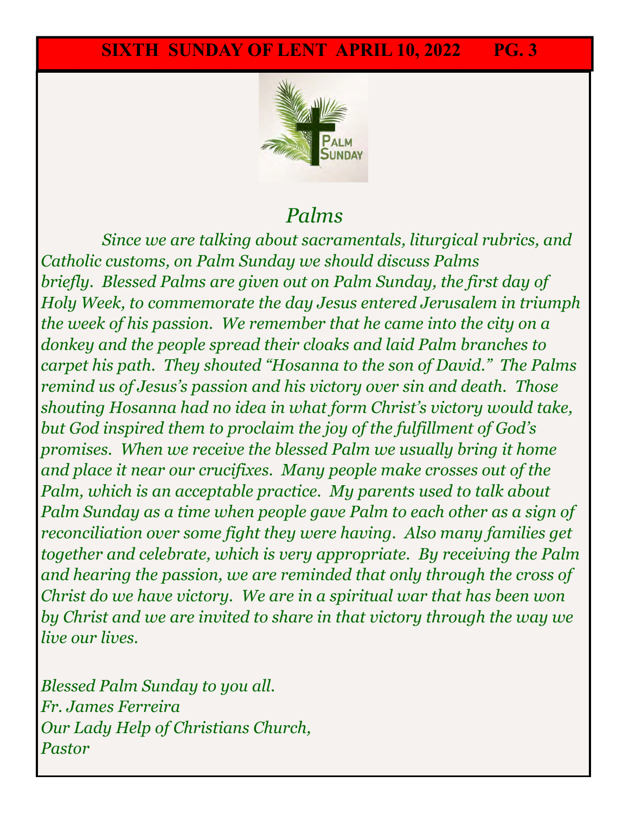

## *Palms*

9:00am: *Concetta DiCesare, Lidia and Domenico Olivo Since we are talking about sacramentals, liturgical rubrics, and Catholic customs, on Palm Sunday we should discuss Palms briefly. Blessed Palms are given out on Palm Sunday, the first day of Holy Week, to commemorate the day Jesus entered Jerusalem in triumph the week of his passion. We remember that he came into the city on a donkey and the people spread their cloaks and laid Palm branches to carpet his path. They shouted "Hosanna to the son of David." The Palms remind us of Jesus's passion and his victory over sin and death. Those shouting Hosanna had no idea in what form Christ's victory would take, but God inspired them to proclaim the joy of the fulfillment of God's promises. When we receive the blessed Palm we usually bring it home and place it near our crucifixes. Many people make crosses out of the Palm, which is an acceptable practice. My parents used to talk about Palm Sunday as a time when people gave Palm to each other as a sign of reconciliation over some fight they were having. Also many families get together and celebrate, which is very appropriate. By receiving the Palm and hearing the passion, we are reminded that only through the cross of Christ do we have victory. We are in a spiritual war that has been won by Christ and we are invited to share in that victory through the way we live our lives.*

*Blessed Palm Sunday to you all. Fr. James Ferreira Our Lady Help of Christians Church, Pastor*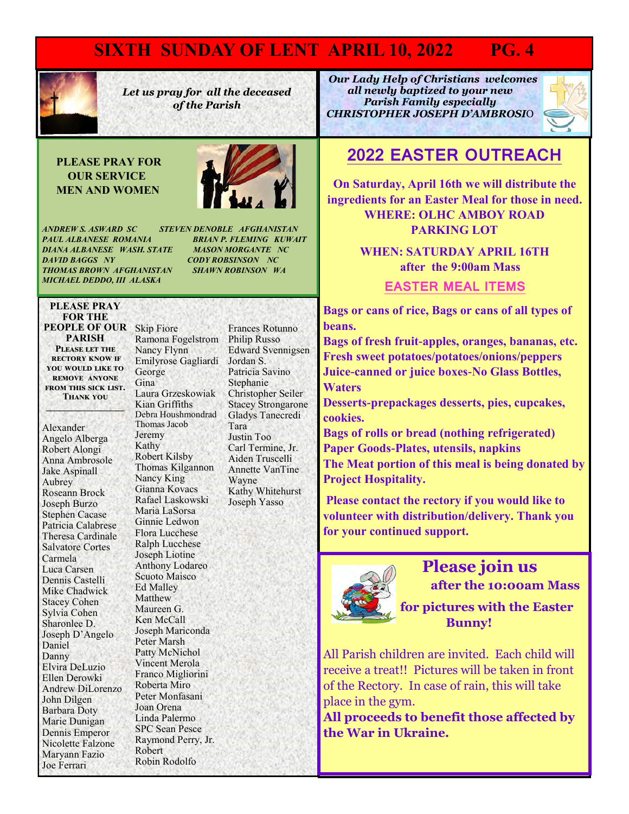### **SIXTH SUNDAY OF LENT APRIL 10, 2022 PG. 4**



*Let us pray for all the deceased of the Parish* 

#### **PLEASE PRAY FOR OUR SERVICE MEN AND WOMEN**



*ANDREW S. ASWARD SC STEVEN DENOBLE AFGHANISTAN PAUL ALBANESE ROMANIA BRIAN P. FLEMING KUWAIT DIANA ALBANESE WASH. STATE MASON MORGANTE NC DAVID BAGGS NY CODY ROBSINSON NC THOMAS BROWN AFGHANISTAN SHAWN ROBINSON WA MICHAEL DEDDO, III ALASKA* 

#### **PLEASE PRAY FOR THE PEOPLE OF OUR**  Skip Fiore **PARISH Please let the rectory know if you would like to remove anyone from this sick list.**

**Thank you \_\_\_\_\_\_\_\_\_\_\_\_\_\_\_\_\_**

Alexander Angelo Alberga Robert Alongi Anna Ambrosole Jake Aspinall Aubrey Roseann Brock Joseph Burzo Stephen Cacase Patricia Calabrese Theresa Cardinale Salvatore Cortes Carmela Luca Carsen Dennis Castelli Mike Chadwick Stacey Cohen Sylvia Cohen Sharonlee D. Joseph D'Angelo Daniel Danny Elvira DeLuzio Ellen Derowki Andrew DiLorenzo John Dilgen Barbara Doty Marie Dunigan Dennis Emperor Nicolette Falzone Maryann Fazio Joe Ferrari

Ramona Fogelstrom Nancy Flynn Emilyrose Gagliardi George Gina Laura Grzeskowiak Kian Griffiths Debra Houshmondrad Thomas Jacob Jeremy Kathy Robert Kilsby Thomas Kilgannon Nancy King Gianna Kovacs Rafael Laskowski Maria LaSorsa Ginnie Ledwon Flora Lucchese Ralph Lucchese Joseph Liotine Anthony Lodareo Scuoto Maisco Ed Malley Matthew Maureen G. Ken McCall Joseph Mariconda Peter Marsh Patty McNichol Vincent Merola Franco Migliorini Roberta Miro Peter Monfasani Joan Orena Linda Palermo SPC Sean Pesce Raymond Perry, Jr. Robert Robin Rodolfo

Frances Rotunno Philip Russo Edward Svennigsen Jordan S. Patricia Savino Stephanie Christopher Seiler Stacey Strongarone Gladys Tanecredi Tara Justin Too Carl Termine, Jr. Aiden Truscelli Annette VanTine Wayne Kathy Whitehurst Joseph Yasso

 *Our Lady Help of Christians welcomes all newly baptized to your new Parish Family especially CHRISTOPHER JOSEPH D'AMBROSI*O



### **2022 EASTER OUTREACH**

**On Saturday, April 16th we will distribute the ingredients for an Easter Meal for those in need. WHERE: OLHC AMBOY ROAD PARKING LOT**

> **WHEN: SATURDAY APRIL 16TH after the 9:00am Mass**

> > **EASTER MEAL ITEMS**

**Bags or cans of rice, Bags or cans of all types of beans.**

**Bags of fresh fruit-apples, oranges, bananas, etc. Fresh sweet potatoes/potatoes/onions/peppers Juice-canned or juice boxes-No Glass Bottles, Waters**

**Desserts-prepackages desserts, pies, cupcakes, cookies.** 

**Bags of rolls or bread (nothing refrigerated) Paper Goods-Plates, utensils, napkins The Meat portion of this meal is being donated by Project Hospitality.** 

**Please contact the rectory if you would like to volunteer with distribution/delivery. Thank you for your continued support.** 



 **Please join us after the 10:00am Mass** 

 **for pictures with the Easter Bunny!**

All Parish children are invited. Each child will receive a treat!! Pictures will be taken in front of the Rectory. In case of rain, this will take place in the gym.

**All proceeds to benefit those affected by the War in Ukraine.**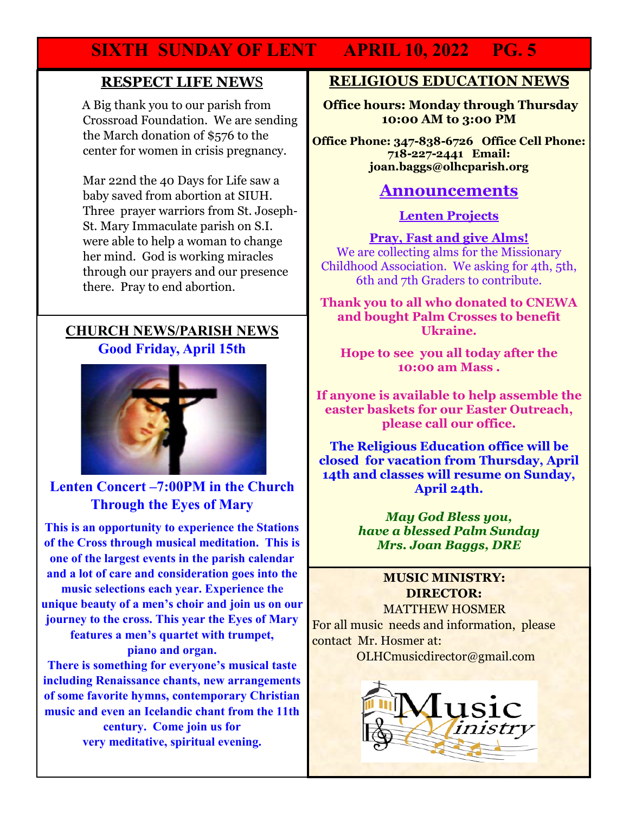### **SIXTH SUNDAY OF LENT APRIL 10, 2022 PG. 5**

#### **RESPECT LIFE NEW**S

 A Big thank you to our parish from Crossroad Foundation. We are sending the March donation of \$576 to the center for women in crisis pregnancy.

Mar 22nd the 40 Days for Life saw a baby saved from abortion at SIUH. Three prayer warriors from St. Joseph-St. Mary Immaculate parish on S.I. were able to help a woman to change her mind. God is working miracles through our prayers and our presence there. Pray to end abortion.

#### **CHURCH NEWS/PARISH NEWS Good Friday, April 15th**



#### **Lenten Concert –7:00PM in the Church Through the Eyes of Mary**

**This is an opportunity to experience the Stations of the Cross through musical meditation. This is one of the largest events in the parish calendar and a lot of care and consideration goes into the music selections each year. Experience the unique beauty of a men's choir and join us on our journey to the cross. This year the Eyes of Mary features a men's quartet with trumpet, piano and organ.** 

**There is something for everyone's musical taste including Renaissance chants, new arrangements of some favorite hymns, contemporary Christian music and even an Icelandic chant from the 11th century. Come join us for very meditative, spiritual evening.** 

#### **RELIGIOUS EDUCATION NEWS**

**Office hours: Monday through Thursday 10:00 AM to 3:00 PM**

**Office Phone: 347-838-6726 Office Cell Phone: 718-227-2441 Email: joan.baggs@olhcparish.org**

#### **Announcements**

**Lenten Projects**

**Pray, Fast and give Alms!** We are collecting alms for the Missionary Childhood Association. We asking for 4th, 5th, 6th and 7th Graders to contribute.

**Thank you to all who donated to CNEWA and bought Palm Crosses to benefit Ukraine.** 

**Hope to see you all today after the 10:00 am Mass .** 

**If anyone is available to help assemble the easter baskets for our Easter Outreach, please call our office.** 

**The Religious Education office will be closed for vacation from Thursday, April 14th and classes will resume on Sunday, April 24th.** 

> *May God Bless you, have a blessed Palm Sunday Mrs. Joan Baggs, DRE*

#### **MUSIC MINISTRY: DIRECTOR:**

MATTHEW HOSMER

For all music needs and information, please contact Mr. Hosmer at:

OLHCmusicdirector@gmail.com